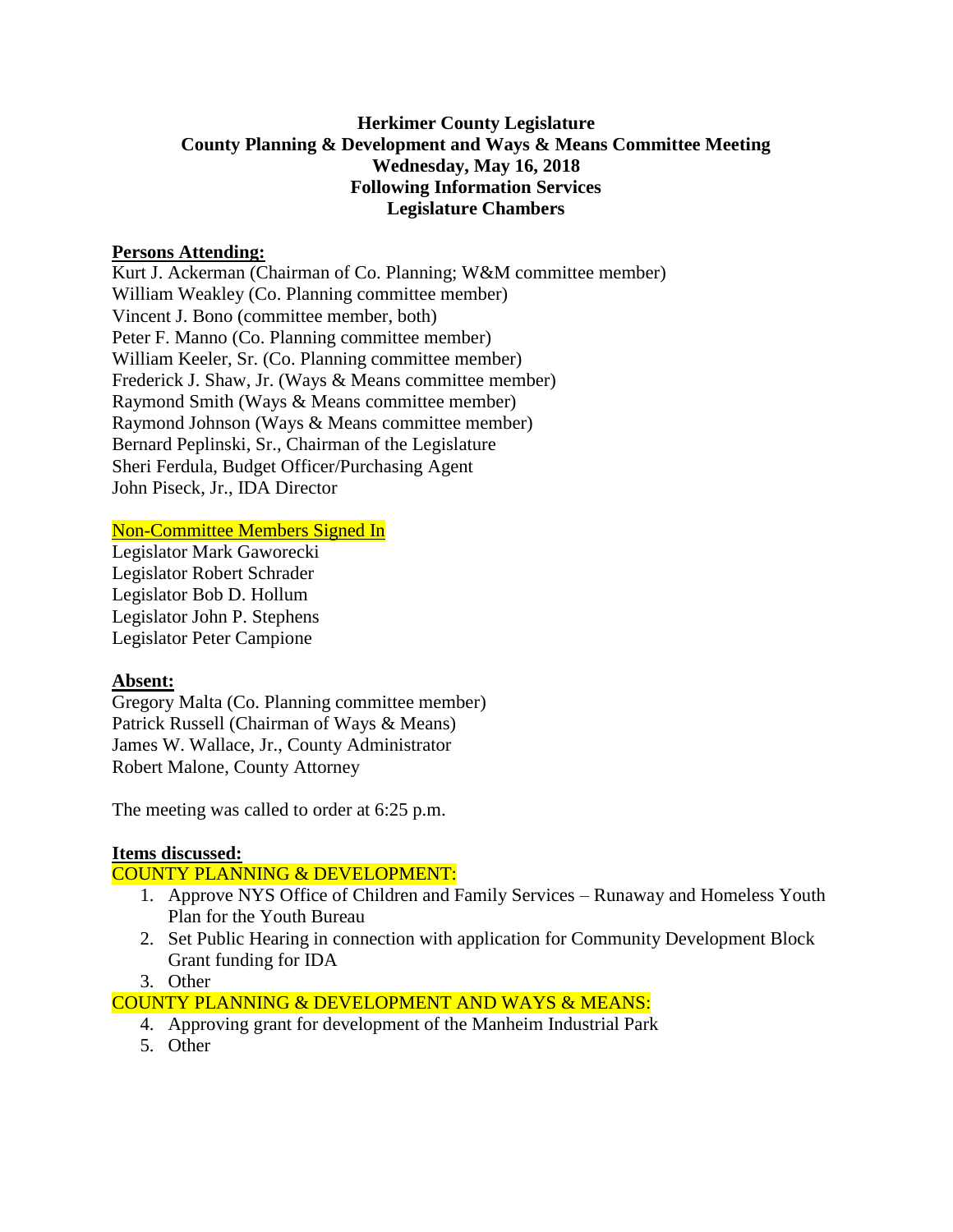# **Herkimer County Legislature County Planning & Development and Ways & Means Committee Meeting Wednesday, May 16, 2018 Following Information Services Legislature Chambers**

## **Persons Attending:**

Kurt J. Ackerman (Chairman of Co. Planning; W&M committee member) William Weakley (Co. Planning committee member) Vincent J. Bono (committee member, both) Peter F. Manno (Co. Planning committee member) William Keeler, Sr. (Co. Planning committee member) Frederick J. Shaw, Jr. (Ways & Means committee member) Raymond Smith (Ways & Means committee member) Raymond Johnson (Ways & Means committee member) Bernard Peplinski, Sr., Chairman of the Legislature Sheri Ferdula, Budget Officer/Purchasing Agent John Piseck, Jr., IDA Director

## Non-Committee Members Signed In

Legislator Mark Gaworecki Legislator Robert Schrader Legislator Bob D. Hollum Legislator John P. Stephens Legislator Peter Campione

#### **Absent:**

Gregory Malta (Co. Planning committee member) Patrick Russell (Chairman of Ways & Means) James W. Wallace, Jr., County Administrator Robert Malone, County Attorney

The meeting was called to order at 6:25 p.m.

#### **Items discussed:**

# COUNTY PLANNING & DEVELOPMENT:

- 1. Approve NYS Office of Children and Family Services Runaway and Homeless Youth Plan for the Youth Bureau
- 2. Set Public Hearing in connection with application for Community Development Block Grant funding for IDA

#### 3. Other

COUNTY PLANNING & DEVELOPMENT AND WAYS & MEANS:

- 4. Approving grant for development of the Manheim Industrial Park
- 5. Other